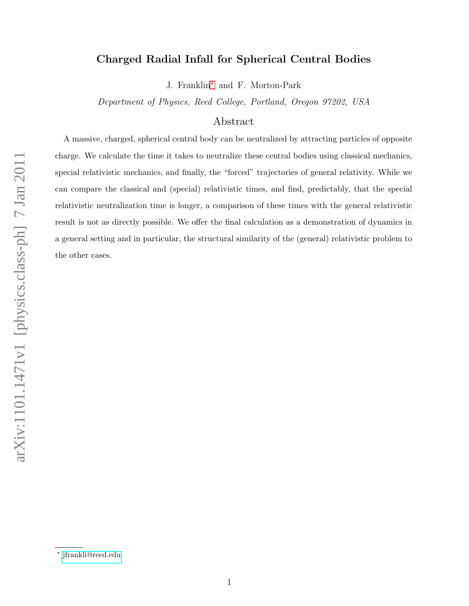# Charged Radial Infall for Spherical Central Bodies

J. Franklin[∗](#page-0-0) and F. Morton-Park

Department of Physics, Reed College, Portland, Oregon 97202, USA

## Abstract

A massive, charged, spherical central body can be neutralized by attracting particles of opposite charge. We calculate the time it takes to neutralize these central bodies using classical mechanics, special relativistic mechanics, and finally, the "forced" trajectories of general relativity. While we can compare the classical and (special) relativistic times, and find, predictably, that the special relativistic neutralization time is longer, a comparison of these times with the general relativistic result is not as directly possible. We offer the final calculation as a demonstration of dynamics in a general setting and in particular, the structural similarity of the (general) relativistic problem to the other cases.

<span id="page-0-0"></span><sup>∗</sup> [jfrankli@reed.edu](mailto:jfrankli@reed.edu)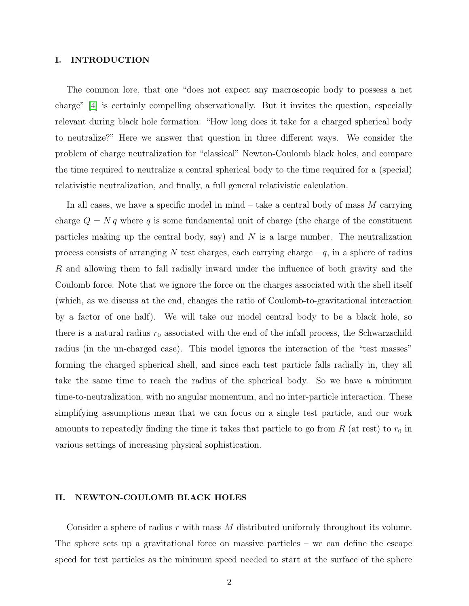### I. INTRODUCTION

The common lore, that one "does not expect any macroscopic body to possess a net charge" [\[4\]](#page-11-0) is certainly compelling observationally. But it invites the question, especially relevant during black hole formation: "How long does it take for a charged spherical body to neutralize?" Here we answer that question in three different ways. We consider the problem of charge neutralization for "classical" Newton-Coulomb black holes, and compare the time required to neutralize a central spherical body to the time required for a (special) relativistic neutralization, and finally, a full general relativistic calculation.

In all cases, we have a specific model in mind  $-$  take a central body of mass M carrying charge  $Q = N q$  where q is some fundamental unit of charge (the charge of the constituent particles making up the central body, say) and  $N$  is a large number. The neutralization process consists of arranging N test charges, each carrying charge  $-q$ , in a sphere of radius R and allowing them to fall radially inward under the influence of both gravity and the Coulomb force. Note that we ignore the force on the charges associated with the shell itself (which, as we discuss at the end, changes the ratio of Coulomb-to-gravitational interaction by a factor of one half). We will take our model central body to be a black hole, so there is a natural radius  $r_0$  associated with the end of the infall process, the Schwarzschild radius (in the un-charged case). This model ignores the interaction of the "test masses" forming the charged spherical shell, and since each test particle falls radially in, they all take the same time to reach the radius of the spherical body. So we have a minimum time-to-neutralization, with no angular momentum, and no inter-particle interaction. These simplifying assumptions mean that we can focus on a single test particle, and our work amounts to repeatedly finding the time it takes that particle to go from  $R$  (at rest) to  $r_0$  in various settings of increasing physical sophistication.

## II. NEWTON-COULOMB BLACK HOLES

Consider a sphere of radius  $r$  with mass  $M$  distributed uniformly throughout its volume. The sphere sets up a gravitational force on massive particles – we can define the escape speed for test particles as the minimum speed needed to start at the surface of the sphere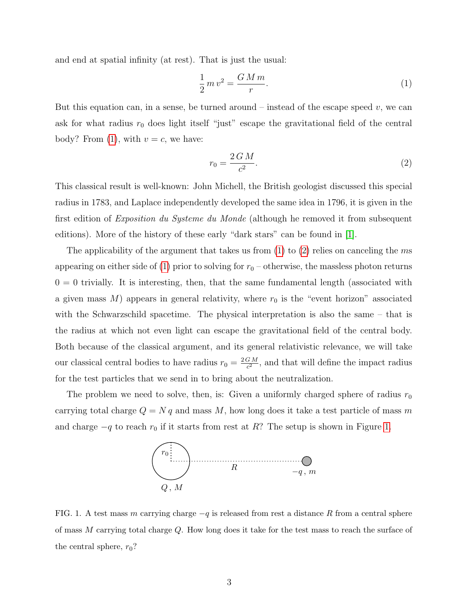and end at spatial infinity (at rest). That is just the usual:

<span id="page-2-0"></span>
$$
\frac{1}{2}mv^2 = \frac{GMm}{r}.\tag{1}
$$

But this equation can, in a sense, be turned around – instead of the escape speed  $v$ , we can ask for what radius  $r_0$  does light itself "just" escape the gravitational field of the central body? From [\(1\)](#page-2-0), with  $v = c$ , we have:

<span id="page-2-1"></span>
$$
r_0 = \frac{2GM}{c^2}.\tag{2}
$$

This classical result is well-known: John Michell, the British geologist discussed this special radius in 1783, and Laplace independently developed the same idea in 1796, it is given in the first edition of Exposition du Systeme du Monde (although he removed it from subsequent editions). More of the history of these early "dark stars" can be found in [\[1\]](#page-10-0).

The applicability of the argument that takes us from [\(1\)](#page-2-0) to [\(2\)](#page-2-1) relies on canceling the ms appearing on either side of [\(1\)](#page-2-0) prior to solving for  $r_0$  – otherwise, the massless photon returns  $0 = 0$  trivially. It is interesting, then, that the same fundamental length (associated with a given mass  $M$ ) appears in general relativity, where  $r_0$  is the "event horizon" associated with the Schwarzschild spacetime. The physical interpretation is also the same – that is the radius at which not even light can escape the gravitational field of the central body. Both because of the classical argument, and its general relativistic relevance, we will take our classical central bodies to have radius  $r_0 = \frac{2GM}{c^2}$  $\frac{GM}{c^2}$ , and that will define the impact radius for the test particles that we send in to bring about the neutralization.

The problem we need to solve, then, is: Given a uniformly charged sphere of radius  $r_0$ carrying total charge  $Q = N q$  and mass M, how long does it take a test particle of mass m and charge  $-q$  to reach  $r_0$  if it starts from rest at R? The setup is shown in Figure [1.](#page-2-2)



<span id="page-2-2"></span>FIG. 1. A test mass m carrying charge  $-q$  is released from rest a distance R from a central sphere of mass M carrying total charge Q. How long does it take for the test mass to reach the surface of the central sphere,  $r_0$ ?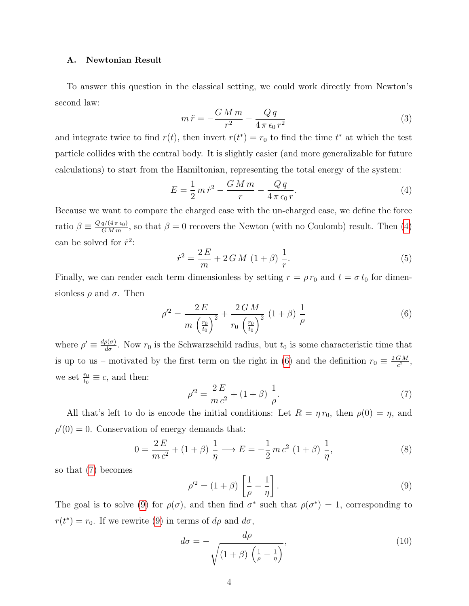## A. Newtonian Result

To answer this question in the classical setting, we could work directly from Newton's second law:

$$
m\ddot{r} = -\frac{GMm}{r^2} - \frac{Qq}{4\pi\epsilon_0 r^2} \tag{3}
$$

and integrate twice to find  $r(t)$ , then invert  $r(t^*) = r_0$  to find the time  $t^*$  at which the test particle collides with the central body. It is slightly easier (and more generalizable for future calculations) to start from the Hamiltonian, representing the total energy of the system:

<span id="page-3-0"></span>
$$
E = \frac{1}{2} m \dot{r}^2 - \frac{GMm}{r} - \frac{Qq}{4\pi \epsilon_0 r}.
$$
\n<sup>(4)</sup>

Because we want to compare the charged case with the un-charged case, we define the force ratio  $\beta \equiv \frac{Q q/(4 \pi \epsilon_0)}{GM m}$ , so that  $\beta = 0$  recovers the Newton (with no Coulomb) result. Then [\(4\)](#page-3-0) can be solved for  $\dot{r}^2$ :

$$
\dot{r}^2 = \frac{2E}{m} + 2GM \ (1+\beta) \ \frac{1}{r}.\tag{5}
$$

Finally, we can render each term dimensionless by setting  $r = \rho r_0$  and  $t = \sigma t_0$  for dimensionless  $\rho$  and  $\sigma$ . Then

<span id="page-3-1"></span>
$$
\rho'^2 = \frac{2 E}{m \left(\frac{r_0}{t_0}\right)^2} + \frac{2 G M}{r_0 \left(\frac{r_0}{t_0}\right)^2} \left(1 + \beta\right) \frac{1}{\rho} \tag{6}
$$

where  $\rho' \equiv \frac{d\rho(\sigma)}{d\sigma}$ . Now  $r_0$  is the Schwarzschild radius, but  $t_0$  is some characteristic time that is up to us – motivated by the first term on the right in [\(6\)](#page-3-1) and the definition  $r_0 \equiv \frac{2GM}{c^2}$  $\frac{GM}{c^2}$ , we set  $\frac{r_0}{t_0} \equiv c$ , and then:

<span id="page-3-2"></span>
$$
\rho'^2 = \frac{2E}{m c^2} + (1 + \beta) \frac{1}{\rho}.\tag{7}
$$

All that's left to do is encode the initial conditions: Let  $R = \eta r_0$ , then  $\rho(0) = \eta$ , and  $\rho'(0) = 0$ . Conservation of energy demands that:

$$
0 = \frac{2E}{mc^2} + (1+\beta)\frac{1}{\eta} \longrightarrow E = -\frac{1}{2}mc^2(1+\beta)\frac{1}{\eta},
$$
\n(8)

so that [\(7\)](#page-3-2) becomes

<span id="page-3-3"></span>
$$
\rho'^2 = (1+\beta) \left[ \frac{1}{\rho} - \frac{1}{\eta} \right]. \tag{9}
$$

The goal is to solve [\(9\)](#page-3-3) for  $\rho(\sigma)$ , and then find  $\sigma^*$  such that  $\rho(\sigma^*) = 1$ , corresponding to  $r(t^*) = r_0$ . If we rewrite [\(9\)](#page-3-3) in terms of  $d\rho$  and  $d\sigma$ ,

$$
d\sigma = -\frac{d\rho}{\sqrt{(1+\beta)\left(\frac{1}{\rho} - \frac{1}{\eta}\right)}},\tag{10}
$$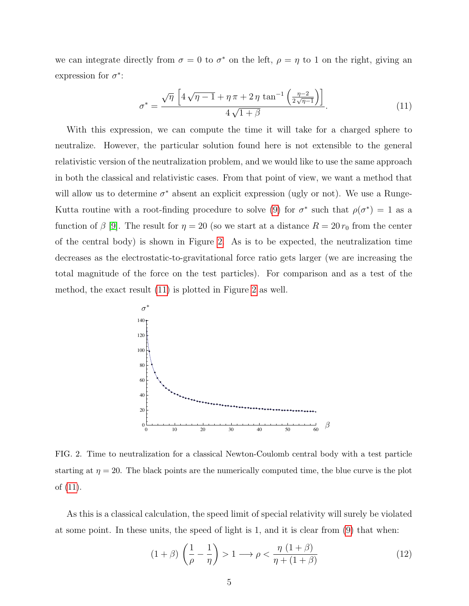we can integrate directly from  $\sigma = 0$  to  $\sigma^*$  on the left,  $\rho = \eta$  to 1 on the right, giving an expression for  $\sigma^*$ :

<span id="page-4-1"></span>
$$
\sigma^* = \frac{\sqrt{\eta} \left[ 4\sqrt{\eta - 1} + \eta \pi + 2\eta \tan^{-1} \left( \frac{\eta - 2}{2\sqrt{\eta - 1}} \right) \right]}{4\sqrt{1 + \beta}}.
$$
\n(11)

With this expression, we can compute the time it will take for a charged sphere to neutralize. However, the particular solution found here is not extensible to the general relativistic version of the neutralization problem, and we would like to use the same approach in both the classical and relativistic cases. From that point of view, we want a method that will allow us to determine  $\sigma^*$  absent an explicit expression (ugly or not). We use a Runge-Kutta routine with a root-finding procedure to solve [\(9\)](#page-3-3) for  $\sigma^*$  such that  $\rho(\sigma^*) = 1$  as a function of  $\beta$  [\[9\]](#page-11-1). The result for  $\eta = 20$  (so we start at a distance  $R = 20 r_0$  from the center of the central body) is shown in Figure [2.](#page-4-0) As is to be expected, the neutralization time decreases as the electrostatic-to-gravitational force ratio gets larger (we are increasing the total magnitude of the force on the test particles). For comparison and as a test of the method, the exact result [\(11\)](#page-4-1) is plotted in Figure [2](#page-4-0) as well.



<span id="page-4-0"></span>FIG. 2. Time to neutralization for a classical Newton-Coulomb central body with a test particle starting at  $\eta = 20$ . The black points are the numerically computed time, the blue curve is the plot of [\(11\)](#page-4-1).

As this is a classical calculation, the speed limit of special relativity will surely be violated at some point. In these units, the speed of light is 1, and it is clear from [\(9\)](#page-3-3) that when:

<span id="page-4-2"></span>
$$
(1+\beta)\left(\frac{1}{\rho}-\frac{1}{\eta}\right) > 1 \longrightarrow \rho < \frac{\eta\left(1+\beta\right)}{\eta+\left(1+\beta\right)}\tag{12}
$$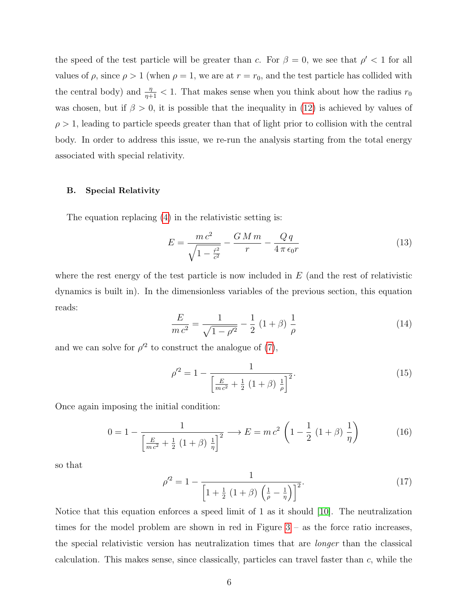the speed of the test particle will be greater than c. For  $\beta = 0$ , we see that  $\rho' < 1$  for all values of  $\rho$ , since  $\rho > 1$  (when  $\rho = 1$ , we are at  $r = r_0$ , and the test particle has collided with the central body) and  $\frac{\eta}{\eta+1} < 1$ . That makes sense when you think about how the radius  $r_0$ was chosen, but if  $\beta > 0$ , it is possible that the inequality in [\(12\)](#page-4-2) is achieved by values of  $\rho > 1$ , leading to particle speeds greater than that of light prior to collision with the central body. In order to address this issue, we re-run the analysis starting from the total energy associated with special relativity.

## B. Special Relativity

The equation replacing [\(4\)](#page-3-0) in the relativistic setting is:

<span id="page-5-0"></span>
$$
E = \frac{mc^2}{\sqrt{1 - \frac{\dot{r}^2}{c^2}}} - \frac{GM \, m}{r} - \frac{Q \, q}{4 \, \pi \, \epsilon_0 r} \tag{13}
$$

where the rest energy of the test particle is now included in  $E$  (and the rest of relativistic dynamics is built in). In the dimensionless variables of the previous section, this equation reads:

$$
\frac{E}{mc^2} = \frac{1}{\sqrt{1 - \rho'^2}} - \frac{1}{2} (1 + \beta) \frac{1}{\rho}
$$
\n(14)

and we can solve for  $\rho'^2$  to construct the analogue of [\(7\)](#page-3-2),

$$
\rho'^2 = 1 - \frac{1}{\left[\frac{E}{mc^2} + \frac{1}{2} \left(1 + \beta\right) \frac{1}{\rho}\right]^2}.
$$
\n(15)

Once again imposing the initial condition:

$$
0 = 1 - \frac{1}{\left[\frac{E}{mc^2} + \frac{1}{2}(1+\beta)\frac{1}{\eta}\right]^2} \longrightarrow E = mc^2 \left(1 - \frac{1}{2}(1+\beta)\frac{1}{\eta}\right)
$$
(16)

so that

$$
\rho'^2 = 1 - \frac{1}{\left[1 + \frac{1}{2} \left(1 + \beta\right) \left(\frac{1}{\rho} - \frac{1}{\eta}\right)\right]^2}.
$$
\n(17)

Notice that this equation enforces a speed limit of 1 as it should [\[10\]](#page-11-2). The neutralization times for the model problem are shown in red in Figure  $3 -$  as the force ratio increases, the special relativistic version has neutralization times that are longer than the classical calculation. This makes sense, since classically, particles can travel faster than  $c$ , while the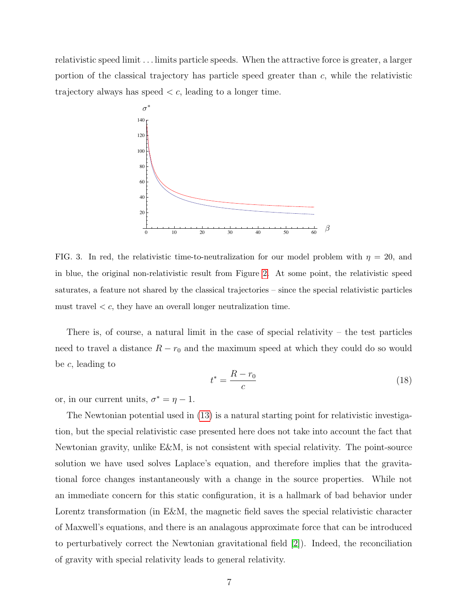relativistic speed limit . . . limits particle speeds. When the attractive force is greater, a larger portion of the classical trajectory has particle speed greater than  $c$ , while the relativistic trajectory always has speed  $\lt c$ , leading to a longer time.



<span id="page-6-0"></span>FIG. 3. In red, the relativistic time-to-neutralization for our model problem with  $\eta = 20$ , and in blue, the original non-relativistic result from Figure [2.](#page-4-0) At some point, the relativistic speed saturates, a feature not shared by the classical trajectories – since the special relativistic particles must travel  $\lt c$ , they have an overall longer neutralization time.

There is, of course, a natural limit in the case of special relativity – the test particles need to travel a distance  $R - r_0$  and the maximum speed at which they could do so would be c, leading to

$$
t^* = \frac{R - r_0}{c} \tag{18}
$$

or, in our current units,  $\sigma^* = \eta - 1$ .

The Newtonian potential used in [\(13\)](#page-5-0) is a natural starting point for relativistic investigation, but the special relativistic case presented here does not take into account the fact that Newtonian gravity, unlike E&M, is not consistent with special relativity. The point-source solution we have used solves Laplace's equation, and therefore implies that the gravitational force changes instantaneously with a change in the source properties. While not an immediate concern for this static configuration, it is a hallmark of bad behavior under Lorentz transformation (in E&M, the magnetic field saves the special relativistic character of Maxwell's equations, and there is an analagous approximate force that can be introduced to perturbatively correct the Newtonian gravitational field [\[2\]](#page-10-1)). Indeed, the reconciliation of gravity with special relativity leads to general relativity.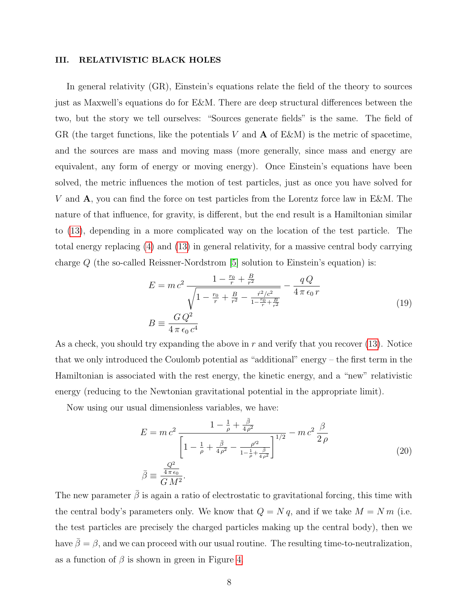#### III. RELATIVISTIC BLACK HOLES

In general relativity (GR), Einstein's equations relate the field of the theory to sources just as Maxwell's equations do for E&M. There are deep structural differences between the two, but the story we tell ourselves: "Sources generate fields" is the same. The field of GR (the target functions, like the potentials V and  $\bf{A}$  of E&M) is the metric of spacetime, and the sources are mass and moving mass (more generally, since mass and energy are equivalent, any form of energy or moving energy). Once Einstein's equations have been solved, the metric influences the motion of test particles, just as once you have solved for V and A, you can find the force on test particles from the Lorentz force law in E&M. The nature of that influence, for gravity, is different, but the end result is a Hamiltonian similar to [\(13\)](#page-5-0), depending in a more complicated way on the location of the test particle. The total energy replacing [\(4\)](#page-3-0) and [\(13\)](#page-5-0) in general relativity, for a massive central body carrying charge  $Q$  (the so-called Reissner-Nordstrom [\[5\]](#page-11-3) solution to Einstein's equation) is:

$$
E = mc^2 \frac{1 - \frac{r_0}{r} + \frac{B}{r^2}}{\sqrt{1 - \frac{r_0}{r} + \frac{B}{r^2} - \frac{r^2/c^2}{1 - \frac{r_0}{r} + \frac{B}{r^2}}}} - \frac{qQ}{4\pi\epsilon_0 r}
$$
  
\n
$$
B \equiv \frac{GQ^2}{4\pi\epsilon_0 c^4}
$$
\n(19)

As a check, you should try expanding the above in  $r$  and verify that you recover [\(13\)](#page-5-0). Notice that we only introduced the Coulomb potential as "additional" energy – the first term in the Hamiltonian is associated with the rest energy, the kinetic energy, and a "new" relativistic energy (reducing to the Newtonian gravitational potential in the appropriate limit).

Now using our usual dimensionless variables, we have:

$$
E = mc^2 \frac{1 - \frac{1}{\rho} + \frac{\bar{\beta}}{4\rho^2}}{\left[1 - \frac{1}{\rho} + \frac{\bar{\beta}}{4\rho^2} - \frac{\rho'^2}{1 - \frac{1}{\rho} + \frac{\bar{\beta}}{4\rho^2}}\right]^{1/2}} - mc^2 \frac{\beta}{2\rho}
$$
\n
$$
\bar{\beta} \equiv \frac{\frac{Q^2}{4\pi\epsilon_0}}{GM^2}.
$$
\n(20)

The new parameter  $\bar{\beta}$  is again a ratio of electrostatic to gravitational forcing, this time with the central body's parameters only. We know that  $Q = N q$ , and if we take  $M = N m$  (i.e. the test particles are precisely the charged particles making up the central body), then we have  $\bar{\beta} = \beta$ , and we can proceed with our usual routine. The resulting time-to-neutralization, as a function of  $\beta$  is shown in green in Figure [4.](#page-8-0)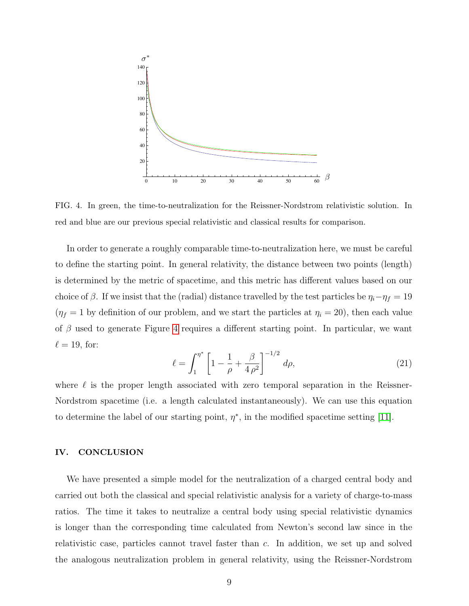

<span id="page-8-0"></span>FIG. 4. In green, the time-to-neutralization for the Reissner-Nordstrom relativistic solution. In red and blue are our previous special relativistic and classical results for comparison.

In order to generate a roughly comparable time-to-neutralization here, we must be careful to define the starting point. In general relativity, the distance between two points (length) is determined by the metric of spacetime, and this metric has different values based on our choice of  $\beta$ . If we insist that the (radial) distance travelled by the test particles be  $\eta_i - \eta_f = 19$  $(\eta_f = 1$  by definition of our problem, and we start the particles at  $\eta_i = 20$ ), then each value of  $\beta$  used to generate Figure [4](#page-8-0) requires a different starting point. In particular, we want  $\ell = 19$ , for:

<span id="page-8-1"></span>
$$
\ell = \int_{1}^{\eta^*} \left[ 1 - \frac{1}{\rho} + \frac{\beta}{4 \rho^2} \right]^{-1/2} d\rho, \tag{21}
$$

where  $\ell$  is the proper length associated with zero temporal separation in the Reissner-Nordstrom spacetime (i.e. a length calculated instantaneously). We can use this equation to determine the label of our starting point,  $\eta^*$ , in the modified spacetime setting [\[11\]](#page-11-4).

## IV. CONCLUSION

We have presented a simple model for the neutralization of a charged central body and carried out both the classical and special relativistic analysis for a variety of charge-to-mass ratios. The time it takes to neutralize a central body using special relativistic dynamics is longer than the corresponding time calculated from Newton's second law since in the relativistic case, particles cannot travel faster than c. In addition, we set up and solved the analogous neutralization problem in general relativity, using the Reissner-Nordstrom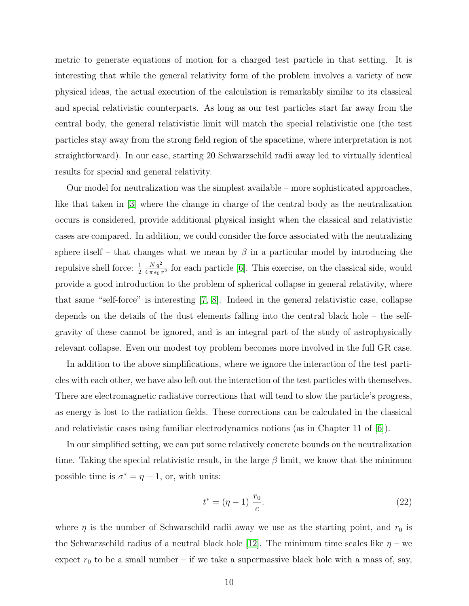metric to generate equations of motion for a charged test particle in that setting. It is interesting that while the general relativity form of the problem involves a variety of new physical ideas, the actual execution of the calculation is remarkably similar to its classical and special relativistic counterparts. As long as our test particles start far away from the central body, the general relativistic limit will match the special relativistic one (the test particles stay away from the strong field region of the spacetime, where interpretation is not straightforward). In our case, starting 20 Schwarzschild radii away led to virtually identical results for special and general relativity.

Our model for neutralization was the simplest available – more sophisticated approaches, like that taken in [\[3\]](#page-11-5) where the change in charge of the central body as the neutralization occurs is considered, provide additional physical insight when the classical and relativistic cases are compared. In addition, we could consider the force associated with the neutralizing sphere itself – that changes what we mean by  $\beta$  in a particular model by introducing the repulsive shell force:  $\frac{1}{2}$  $N q^2$  $\frac{N q^2}{4 \pi \epsilon_0 r^2}$  for each particle [\[6\]](#page-11-6). This exercise, on the classical side, would provide a good introduction to the problem of spherical collapse in general relativity, where that same "self-force" is interesting [\[7,](#page-11-7) [8\]](#page-11-8). Indeed in the general relativistic case, collapse depends on the details of the dust elements falling into the central black hole – the selfgravity of these cannot be ignored, and is an integral part of the study of astrophysically relevant collapse. Even our modest toy problem becomes more involved in the full GR case.

In addition to the above simplifications, where we ignore the interaction of the test particles with each other, we have also left out the interaction of the test particles with themselves. There are electromagnetic radiative corrections that will tend to slow the particle's progress, as energy is lost to the radiation fields. These corrections can be calculated in the classical and relativistic cases using familiar electrodynamics notions (as in Chapter 11 of [\[6\]](#page-11-6)).

In our simplified setting, we can put some relatively concrete bounds on the neutralization time. Taking the special relativistic result, in the large  $\beta$  limit, we know that the minimum possible time is  $\sigma^* = \eta - 1$ , or, with units:

$$
t^* = (\eta - 1) \frac{r_0}{c}.
$$
 (22)

where  $\eta$  is the number of Schwarschild radii away we use as the starting point, and  $r_0$  is the Schwarzschild radius of a neutral black hole [\[12\]](#page-12-0). The minimum time scales like  $\eta$  – we expect  $r_0$  to be a small number – if we take a supermassive black hole with a mass of, say,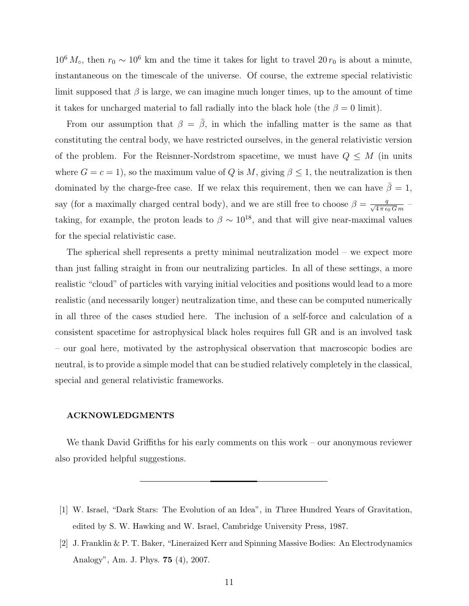$10^6 M_\circ$ , then  $r_0 \sim 10^6$  km and the time it takes for light to travel 20  $r_0$  is about a minute, instantaneous on the timescale of the universe. Of course, the extreme special relativistic limit supposed that  $\beta$  is large, we can imagine much longer times, up to the amount of time it takes for uncharged material to fall radially into the black hole (the  $\beta = 0$  limit).

From our assumption that  $\beta = \bar{\beta}$ , in which the infalling matter is the same as that constituting the central body, we have restricted ourselves, in the general relativistic version of the problem. For the Reisnner-Nordstrom spacetime, we must have  $Q \leq M$  (in units where  $G = c = 1$ , so the maximum value of Q is M, giving  $\beta \leq 1$ , the neutralization is then dominated by the charge-free case. If we relax this requirement, then we can have  $\beta = 1$ , say (for a maximally charged central body), and we are still free to choose  $\beta = \frac{q}{\sqrt{4 \pi \epsilon_0 G_m}}$ taking, for example, the proton leads to  $\beta \sim 10^{18}$ , and that will give near-maximal values for the special relativistic case.

The spherical shell represents a pretty minimal neutralization model – we expect more than just falling straight in from our neutralizing particles. In all of these settings, a more realistic "cloud" of particles with varying initial velocities and positions would lead to a more realistic (and necessarily longer) neutralization time, and these can be computed numerically in all three of the cases studied here. The inclusion of a self-force and calculation of a consistent spacetime for astrophysical black holes requires full GR and is an involved task – our goal here, motivated by the astrophysical observation that macroscopic bodies are neutral, is to provide a simple model that can be studied relatively completely in the classical, special and general relativistic frameworks.

## ACKNOWLEDGMENTS

We thank David Griffiths for his early comments on this work – our anonymous reviewer also provided helpful suggestions.

<span id="page-10-0"></span><sup>[1]</sup> W. Israel, "Dark Stars: The Evolution of an Idea", in Three Hundred Years of Gravitation, edited by S. W. Hawking and W. Israel, Cambridge University Press, 1987.

<span id="page-10-1"></span><sup>[2]</sup> J. Franklin & P. T. Baker, "Lineraized Kerr and Spinning Massive Bodies: An Electrodynamics Analogy", Am. J. Phys. 75 (4), 2007.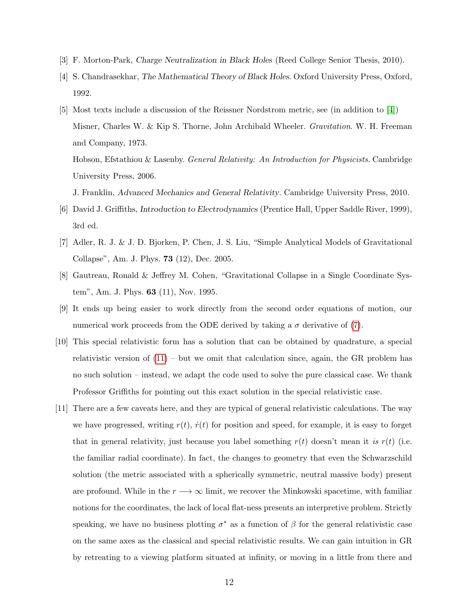- <span id="page-11-5"></span><span id="page-11-0"></span>[3] F. Morton-Park, Charge Neutralization in Black Holes (Reed College Senior Thesis, 2010).
- [4] S. Chandrasekhar, The Mathematical Theory of Black Holes. Oxford University Press, Oxford, 1992.
- <span id="page-11-3"></span>[5] Most texts include a discussion of the Reissner Nordstrom metric, see (in addition to [\[4\]](#page-11-0)) Misner, Charles W. & Kip S. Thorne, John Archibald Wheeler. Gravitation. W. H. Freeman and Company, 1973. Hobson, Efstathiou & Lasenby. *General Relativity: An Introduction for Physicists*. Cambridge University Press, 2006.
	- J. Franklin, Advanced Mechanics and General Relativity. Cambridge University Press, 2010.
- <span id="page-11-6"></span>[6] David J. Griffiths, Introduction to Electrodynamics (Prentice Hall, Upper Saddle River, 1999), 3rd ed.
- <span id="page-11-7"></span>[7] Adler, R. J. & J. D. Bjorken, P. Chen, J. S. Liu, "Simple Analytical Models of Gravitational Collapse", Am. J. Phys. 73 (12), Dec. 2005.
- <span id="page-11-8"></span>[8] Gautreau, Ronald & Jeffrey M. Cohen, "Gravitational Collapse in a Single Coordinate System", Am. J. Phys. 63 (11), Nov. 1995.
- <span id="page-11-1"></span>[9] It ends up being easier to work directly from the second order equations of motion, our numerical work proceeds from the ODE derived by taking a  $\sigma$  derivative of [\(7\)](#page-3-2).
- <span id="page-11-2"></span>[10] This special relativistic form has a solution that can be obtained by quadrature, a special relativistic version of  $(11)$  – but we omit that calculation since, again, the GR problem has no such solution – instead, we adapt the code used to solve the pure classical case. We thank Professor Griffiths for pointing out this exact solution in the special relativistic case.
- <span id="page-11-4"></span>[11] There are a few caveats here, and they are typical of general relativistic calculations. The way we have progressed, writing  $r(t)$ ,  $\dot{r}(t)$  for position and speed, for example, it is easy to forget that in general relativity, just because you label something  $r(t)$  doesn't mean it is  $r(t)$  (i.e. the familiar radial coordinate). In fact, the changes to geometry that even the Schwarzschild solution (the metric associated with a spherically symmetric, neutral massive body) present are profound. While in the  $r \rightarrow \infty$  limit, we recover the Minkowski spacetime, with familiar notions for the coordinates, the lack of local flat-ness presents an interpretive problem. Strictly speaking, we have no business plotting  $\sigma^*$  as a function of  $\beta$  for the general relativistic case on the same axes as the classical and special relativistic results. We can gain intuition in GR by retreating to a viewing platform situated at infinity, or moving in a little from there and